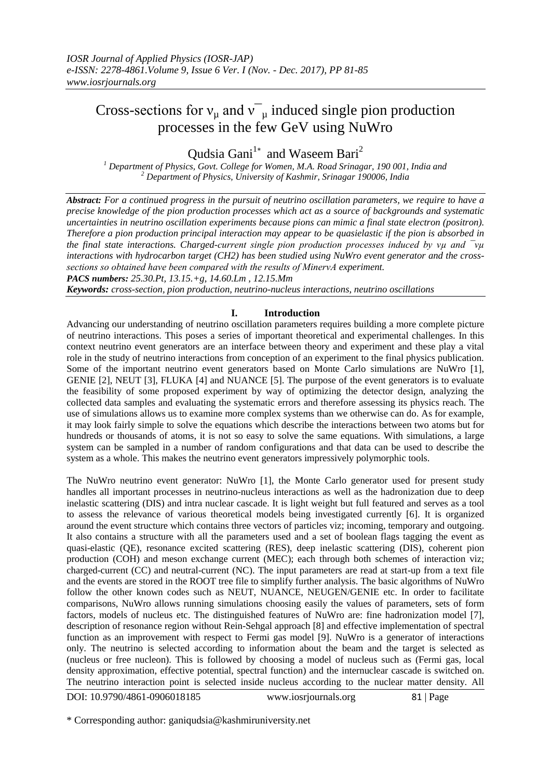# Cross-sections for  $v_{\mu}$  and  $v_{\mu}$  induced single pion production processes in the few GeV using NuWro

Qudsia Gani<sup>1</sup><sup>\*</sup> and Waseem Bari<sup>2</sup>

*<sup>1</sup> Department of Physics, Govt. College for Women, M.A. Road Srinagar, 190 001, India and <sup>2</sup> Department of Physics, University of Kashmir, Srinagar 190006, India*

*Abstract: For a continued progress in the pursuit of neutrino oscillation parameters, we require to have a precise knowledge of the pion production processes which act as a source of backgrounds and systematic uncertainties in neutrino oscillation experiments because pions can mimic a final state electron (positron). Therefore a pion production principal interaction may appear to be quasielastic if the pion is absorbed in the final state interactions. Charged-current single pion production processes induced by νµ and ¯νµ interactions with hydrocarbon target (CH2) has been studied using NuWro event generator and the crosssections so obtained have been compared with the results of MinerνA experiment.* 

*PACS numbers: 25.30.Pt, 13.15.+g, 14.60.Lm , 12.15.Mm* 

*Keywords: cross-section, pion production, neutrino-nucleus interactions, neutrino oscillations*

## **I. Introduction**

Advancing our understanding of neutrino oscillation parameters requires building a more complete picture of neutrino interactions. This poses a series of important theoretical and experimental challenges. In this context neutrino event generators are an interface between theory and experiment and these play a vital role in the study of neutrino interactions from conception of an experiment to the final physics publication. Some of the important neutrino event generators based on Monte Carlo simulations are NuWro [1], GENIE [2], NEUT [3], FLUKA [4] and NUANCE [5]. The purpose of the event generators is to evaluate the feasibility of some proposed experiment by way of optimizing the detector design, analyzing the collected data samples and evaluating the systematic errors and therefore assessing its physics reach. The use of simulations allows us to examine more complex systems than we otherwise can do. As for example, it may look fairly simple to solve the equations which describe the interactions between two atoms but for hundreds or thousands of atoms, it is not so easy to solve the same equations. With simulations, a large system can be sampled in a number of random configurations and that data can be used to describe the system as a whole. This makes the neutrino event generators impressively polymorphic tools.

The NuWro neutrino event generator: NuWro [1], the Monte Carlo generator used for present study handles all important processes in neutrino-nucleus interactions as well as the hadronization due to deep inelastic scattering (DIS) and intra nuclear cascade. It is light weight but full featured and serves as a tool to assess the relevance of various theoretical models being investigated currently [6]. It is organized around the event structure which contains three vectors of particles viz; incoming, temporary and outgoing. It also contains a structure with all the parameters used and a set of boolean flags tagging the event as quasi-elastic (QE), resonance excited scattering (RES), deep inelastic scattering (DIS), coherent pion production (COH) and meson exchange current (MEC); each through both schemes of interaction viz; charged-current (CC) and neutral-current (NC). The input parameters are read at start-up from a text file and the events are stored in the ROOT tree file to simplify further analysis. The basic algorithms of NuWro follow the other known codes such as NEUT, NUANCE, NEUGEN/GENIE etc. In order to facilitate comparisons, NuWro allows running simulations choosing easily the values of parameters, sets of form factors, models of nucleus etc. The distinguished features of NuWro are: fine hadronization model [7], description of resonance region without Rein-Sehgal approach [8] and effective implementation of spectral function as an improvement with respect to Fermi gas model [9]. NuWro is a generator of interactions only. The neutrino is selected according to information about the beam and the target is selected as (nucleus or free nucleon). This is followed by choosing a model of nucleus such as (Fermi gas, local density approximation, effective potential, spectral function) and the internuclear cascade is switched on. The neutrino interaction point is selected inside nucleus according to the nuclear matter density. All

DOI: 10.9790/4861-0906018185 www.iosrjournals.org 81 | Page

\* Corresponding author: ganiqudsia@kashmiruniversity.net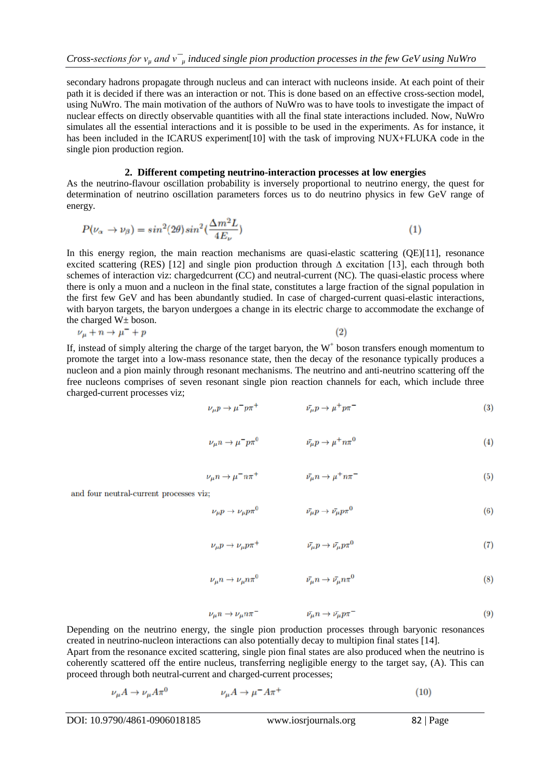secondary hadrons propagate through nucleus and can interact with nucleons inside. At each point of their path it is decided if there was an interaction or not. This is done based on an effective cross-section model, using NuWro. The main motivation of the authors of NuWro was to have tools to investigate the impact of nuclear effects on directly observable quantities with all the final state interactions included. Now, NuWro simulates all the essential interactions and it is possible to be used in the experiments. As for instance, it has been included in the ICARUS experiment [10] with the task of improving NUX+FLUKA code in the single pion production region.

# **2. Different competing neutrino-interaction processes at low energies**

As the neutrino-flavour oscillation probability is inversely proportional to neutrino energy, the quest for determination of neutrino oscillation parameters forces us to do neutrino physics in few GeV range of energy.

$$
P(\nu_{\alpha} \to \nu_{\beta}) = \sin^2(2\theta)\sin^2(\frac{\Delta m^2 L}{4E_{\nu}})
$$
\n(1)

In this energy region, the main reaction mechanisms are quasi-elastic scattering (QE)[11], resonance excited scattering (RES) [12] and single pion production through ∆ excitation [13], each through both schemes of interaction viz: chargedcurrent (CC) and neutral-current (NC). The quasi-elastic process where there is only a muon and a nucleon in the final state, constitutes a large fraction of the signal population in the first few GeV and has been abundantly studied. In case of charged-current quasi-elastic interactions, with baryon targets, the baryon undergoes a change in its electric charge to accommodate the exchange of the charged  $W<sub>±</sub>$  boson.

$$
\nu_{\mu} + n \to \mu^{-} + p \tag{2}
$$

If, instead of simply altering the charge of the target baryon, the  $W<sup>+</sup>$  boson transfers enough momentum to promote the target into a low-mass resonance state, then the decay of the resonance typically produces a nucleon and a pion mainly through resonant mechanisms. The neutrino and anti-neutrino scattering off the free nucleons comprises of seven resonant single pion reaction channels for each, which include three charged-current processes viz;

$$
\nu_{\mu} p \to \mu^- p \pi^+ \qquad \qquad \bar{\nu}_{\mu} p \to \mu^+ p \pi^- \qquad (3)
$$

$$
\nu_{\mu}n \to \mu^- p \pi^0 \qquad \qquad \bar{\nu}_{\mu}p \to \mu^+ n \pi^0 \tag{4}
$$

$$
\nu_{\mu}n \to \mu^{-}n\pi^{+} \qquad \qquad \bar{\nu_{\mu}}n \to \mu^{+}n\pi^{-} \qquad (5)
$$

and four neutral-current processes viz;

$$
\nu_{\mu} p \to \nu_{\mu} p \pi^0 \qquad \qquad \bar{\nu}_{\mu} p \to \bar{\nu}_{\mu} p \pi^0 \tag{6}
$$

$$
\nu_{\mu} p \to \nu_{\mu} p \pi^{+} \qquad \qquad \bar{\nu}_{\mu} p \to \bar{\nu}_{\mu} p \pi^{0} \tag{7}
$$

$$
\nu_{\mu}n \to \nu_{\mu}n\pi^{0} \qquad \qquad \bar{\nu_{\mu}}n \to \bar{\nu_{\mu}}n\pi^{0} \qquad (8)
$$

$$
\nu_{\mu}n \to \nu_{\mu}n\pi^{-} \qquad \qquad \bar{\nu_{\mu}}n \to \bar{\nu_{\mu}}p\pi^{-} \qquad (9)
$$

Depending on the neutrino energy, the single pion production processes through baryonic resonances created in neutrino-nucleon interactions can also potentially decay to multipion final states [14]. Apart from the resonance excited scattering, single pion final states are also produced when the neutrino is coherently scattered off the entire nucleus, transferring negligible energy to the target say, (A). This can proceed through both neutral-current and charged-current processes;

$$
\nu_{\mu}A \to \nu_{\mu}A\pi^{0} \qquad \nu_{\mu}A \to \mu^{-}A\pi^{+} \qquad (10)
$$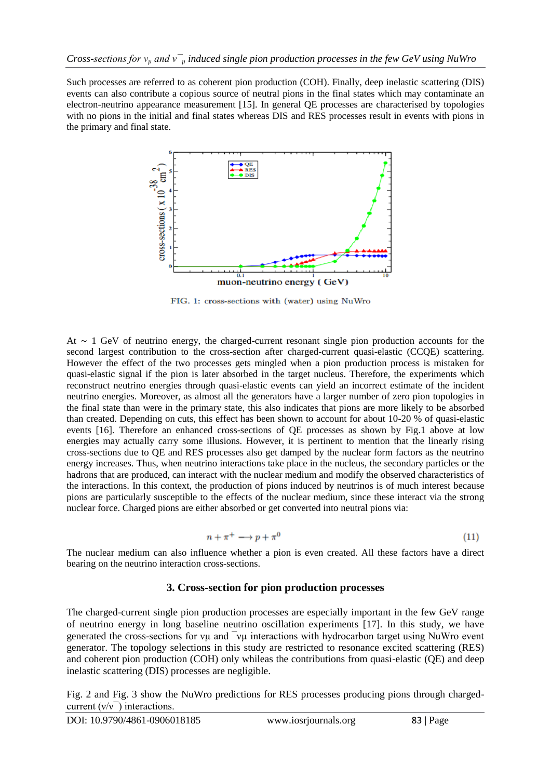Such processes are referred to as coherent pion production (COH). Finally, deep inelastic scattering (DIS) events can also contribute a copious source of neutral pions in the final states which may contaminate an electron-neutrino appearance measurement [15]. In general QE processes are characterised by topologies with no pions in the initial and final states whereas DIS and RES processes result in events with pions in the primary and final state.



FIG. 1: cross-sections with (water) using NuWro

At ∼ 1 GeV of neutrino energy, the charged-current resonant single pion production accounts for the second largest contribution to the cross-section after charged-current quasi-elastic (CCQE) scattering. However the effect of the two processes gets mingled when a pion production process is mistaken for quasi-elastic signal if the pion is later absorbed in the target nucleus. Therefore, the experiments which reconstruct neutrino energies through quasi-elastic events can yield an incorrect estimate of the incident neutrino energies. Moreover, as almost all the generators have a larger number of zero pion topologies in the final state than were in the primary state, this also indicates that pions are more likely to be absorbed than created. Depending on cuts, this effect has been shown to account for about 10-20 % of quasi-elastic events [16]. Therefore an enhanced cross-sections of QE processes as shown by Fig.1 above at low energies may actually carry some illusions. However, it is pertinent to mention that the linearly rising cross-sections due to QE and RES processes also get damped by the nuclear form factors as the neutrino energy increases. Thus, when neutrino interactions take place in the nucleus, the secondary particles or the hadrons that are produced, can interact with the nuclear medium and modify the observed characteristics of the interactions. In this context, the production of pions induced by neutrinos is of much interest because pions are particularly susceptible to the effects of the nuclear medium, since these interact via the strong nuclear force. Charged pions are either absorbed or get converted into neutral pions via:

$$
n + \pi^+ \longrightarrow p + \pi^0 \tag{11}
$$

The nuclear medium can also influence whether a pion is even created. All these factors have a direct bearing on the neutrino interaction cross-sections.

# **3. Cross-section for pion production processes**

The charged-current single pion production processes are especially important in the few GeV range of neutrino energy in long baseline neutrino oscillation experiments [17]. In this study, we have generated the cross-sections for νµ and ¯νµ interactions with hydrocarbon target using NuWro event generator. The topology selections in this study are restricted to resonance excited scattering (RES) and coherent pion production (COH) only whileas the contributions from quasi-elastic (QE) and deep inelastic scattering (DIS) processes are negligible.

Fig. 2 and Fig. 3 show the NuWro predictions for RES processes producing pions through chargedcurrent  $(v/v)$  interactions.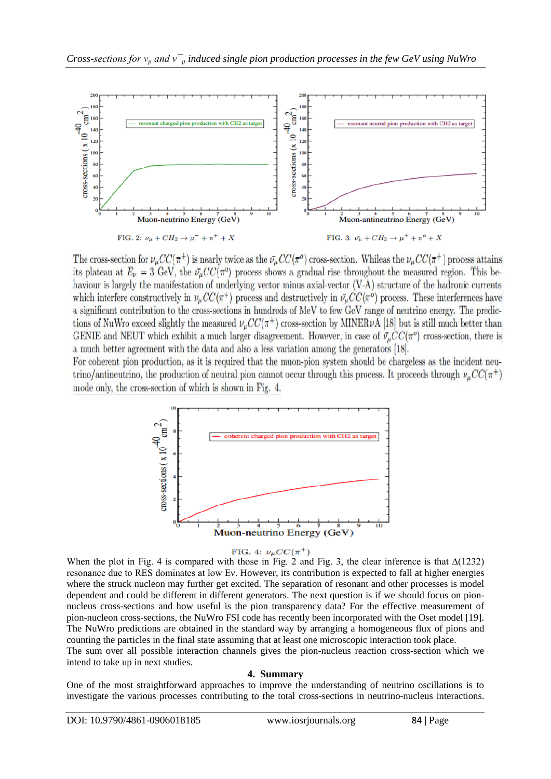

The cross-section for  $\nu_{\mu}CC(\pi^+)$  is nearly twice as the  $\bar{\nu}_{\mu}CC(\pi^{\sigma})$  cross-section. Whileas the  $\nu_{\mu}CC(\pi^+)$  process attains its plateau at  $E_{\nu} = 3$  GeV, the  $\bar{\nu}_{\mu}CC(\pi^0)$  process shows a gradual rise throughout the measured region. This behaviour is largely the manifestation of underlying vector minus axial-vector (V-A) structure of the hadronic currents which interfere constructively in  $\nu_{\mu}CC(\pi^+)$  process and destructively in  $\bar{\nu}_{\mu}CC(\pi^0)$  process. These interferences have a significant contribution to the cross-sections in hundreds of MeV to few GeV range of neutrino energy. The predictions of NuWro exceed slightly the measured  $\nu_u CC(\pi^+)$  cross-section by MINER $\nu$ A [18] but is still much better than GENIE and NEUT which exhibit a much larger disagreement. However, in case of  $\bar{\nu}_{\mu}CC(\pi^{\circ})$  cross-section, there is a much better agreement with the data and also a less variation among the generators [18].

For coherent pion production, as it is required that the muon-pion system should be chargeless as the incident neutrino/antineutrino, the production of neutral pion cannot occur through this process. It proceeds through  $\nu_{\mu}CC(\pi^+)$ mode only, the cross-section of which is shown in Fig. 4.



#### FIG. 4:  $\nu_{\mu}CC(\pi^{+})$

When the plot in Fig. 4 is compared with those in Fig. 2 and Fig. 3, the clear inference is that  $\Delta(1232)$ resonance due to RES dominates at low Eν. However, its contribution is expected to fall at higher energies where the struck nucleon may further get excited. The separation of resonant and other processes is model dependent and could be different in different generators. The next question is if we should focus on pionnucleus cross-sections and how useful is the pion transparency data? For the effective measurement of pion-nucleon cross-sections, the NuWro FSI code has recently been incorporated with the Oset model [19]. The NuWro predictions are obtained in the standard way by arranging a homogeneous flux of pions and counting the particles in the final state assuming that at least one microscopic interaction took place.

The sum over all possible interaction channels gives the pion-nucleus reaction cross-section which we intend to take up in next studies.

# **4. Summary**

One of the most straightforward approaches to improve the understanding of neutrino oscillations is to investigate the various processes contributing to the total cross-sections in neutrino-nucleus interactions.